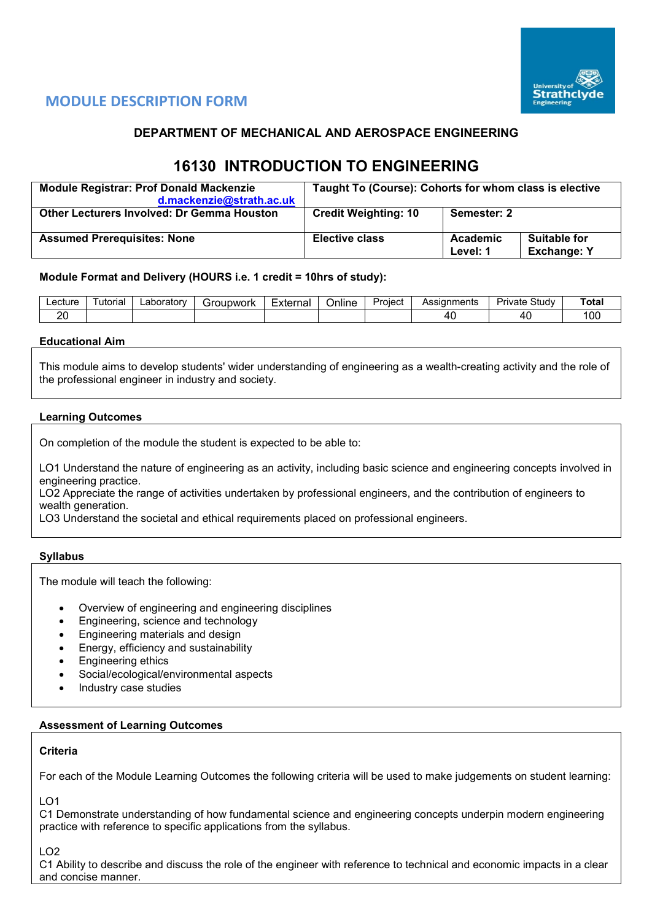

## **MODULE DESCRIPTION FORM**

## **DEPARTMENT OF MECHANICAL AND AEROSPACE ENGINEERING**

# **16130 INTRODUCTION TO ENGINEERING**

| <b>Module Registrar: Prof Donald Mackenzie</b><br>d.mackenzie@strath.ac.uk | Taught To (Course): Cohorts for whom class is elective |                      |                                    |  |  |  |
|----------------------------------------------------------------------------|--------------------------------------------------------|----------------------|------------------------------------|--|--|--|
| <b>Other Lecturers Involved: Dr Gemma Houston</b>                          | <b>Credit Weighting: 10</b>                            | Semester: 2          |                                    |  |  |  |
| <b>Assumed Prerequisites: None</b>                                         | <b>Elective class</b>                                  | Academic<br>Level: 1 | Suitable for<br><b>Exchange: Y</b> |  |  |  |

### **Module Format and Delivery (HOURS i.e. 1 credit = 10hrs of study):**

| _ecture  | ' utorial | ∟aboratorv | Foupwork | Externa | $\cdots$<br>Online | -<br>Project | Assignments | $\sim$<br>Private<br>otudv. | <b>Total</b> |
|----------|-----------|------------|----------|---------|--------------------|--------------|-------------|-----------------------------|--------------|
| oc<br>∠∪ |           |            |          |         |                    |              |             | Δſ<br>᠇ᢣ                    | مہ م<br>UU   |

#### **Educational Aim**

This module aims to develop students' wider understanding of engineering as a wealth-creating activity and the role of the professional engineer in industry and society.

### **Learning Outcomes**

On completion of the module the student is expected to be able to:

LO1 Understand the nature of engineering as an activity, including basic science and engineering concepts involved in engineering practice.

LO2 Appreciate the range of activities undertaken by professional engineers, and the contribution of engineers to wealth generation.

LO3 Understand the societal and ethical requirements placed on professional engineers.

#### **Syllabus**

The module will teach the following:

- Overview of engineering and engineering disciplines
- Engineering, science and technology
- Engineering materials and design
- Energy, efficiency and sustainability
- Engineering ethics
- Social/ecological/environmental aspects
- Industry case studies

#### **Assessment of Learning Outcomes**

#### **Criteria**

For each of the Module Learning Outcomes the following criteria will be used to make judgements on student learning:

LO1

C1 Demonstrate understanding of how fundamental science and engineering concepts underpin modern engineering practice with reference to specific applications from the syllabus.

LO2

C1 Ability to describe and discuss the role of the engineer with reference to technical and economic impacts in a clear and concise manner.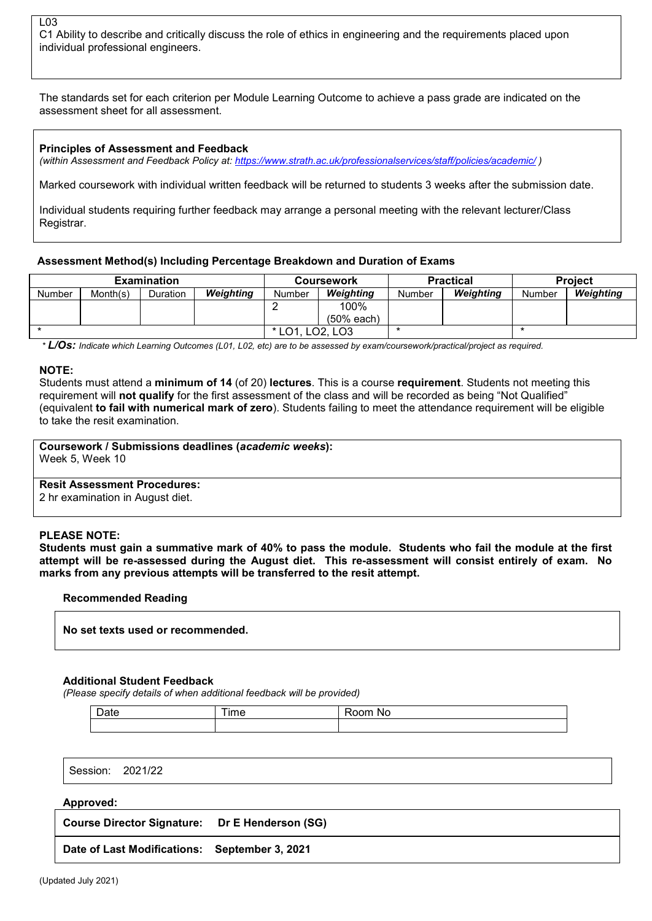#### $L<sub>0.3</sub>$ C1 Ability to describe and critically discuss the role of ethics in engineering and the requirements placed upon individual professional engineers.

The standards set for each criterion per Module Learning Outcome to achieve a pass grade are indicated on the assessment sheet for all assessment.

#### **Principles of Assessment and Feedback**

*(within Assessment and Feedback Policy at: <https://www.strath.ac.uk/professionalservices/staff/policies/academic/> )*

Marked coursework with individual written feedback will be returned to students 3 weeks after the submission date.

Individual students requiring further feedback may arrange a personal meeting with the relevant lecturer/Class Registrar.

#### **Assessment Method(s) Including Percentage Breakdown and Duration of Exams**

|               |          | <b>Examination</b> |                                           |        | <b>Coursework</b> |        | <b>Practical</b> | <b>Project</b> |                  |  |
|---------------|----------|--------------------|-------------------------------------------|--------|-------------------|--------|------------------|----------------|------------------|--|
| <b>Number</b> | Month(s) | Duration           | Weighting                                 | Number | Weighting         | Number | <b>Weighting</b> | Number         | <b>Weighting</b> |  |
|               |          |                    |                                           |        | 100%              |        |                  |                |                  |  |
|               |          |                    |                                           |        | $(50%$ each)      |        |                  |                |                  |  |
|               |          |                    | $\star$ 1<br>റാ<br>LO1<br>LO <sub>3</sub> |        |                   |        |                  |                |                  |  |

*\* L/Os: Indicate which Learning Outcomes (L01, L02, etc) are to be assessed by exam/coursework/practical/project as required.*

#### **NOTE:**

Students must attend a **minimum of 14** (of 20) **lectures**. This is a course **requirement**. Students not meeting this requirement will **not qualify** for the first assessment of the class and will be recorded as being "Not Qualified" (equivalent **to fail with numerical mark of zero**). Students failing to meet the attendance requirement will be eligible to take the resit examination.

**Coursework / Submissions deadlines (***academic weeks***):**

Week 5, Week 10

#### **Resit Assessment Procedures:**

2 hr examination in August diet.

#### **PLEASE NOTE:**

**Students must gain a summative mark of 40% to pass the module. Students who fail the module at the first attempt will be re-assessed during the August diet. This re-assessment will consist entirely of exam. No marks from any previous attempts will be transferred to the resit attempt.**

#### **Recommended Reading**

**No set texts used or recommended.**

#### **Additional Student Feedback**

*(Please specify details of when additional feedback will be provided)*

| - | <b>Ime</b><br>$\cdots$ | - --<br>Νo<br><br>. |
|---|------------------------|---------------------|
|   |                        |                     |

| Session: | 2021/22 |
|----------|---------|
|----------|---------|

#### **Approved:**

**Course Director Signature: Dr E Henderson (SG) Date of Last Modifications: September 3, 2021**